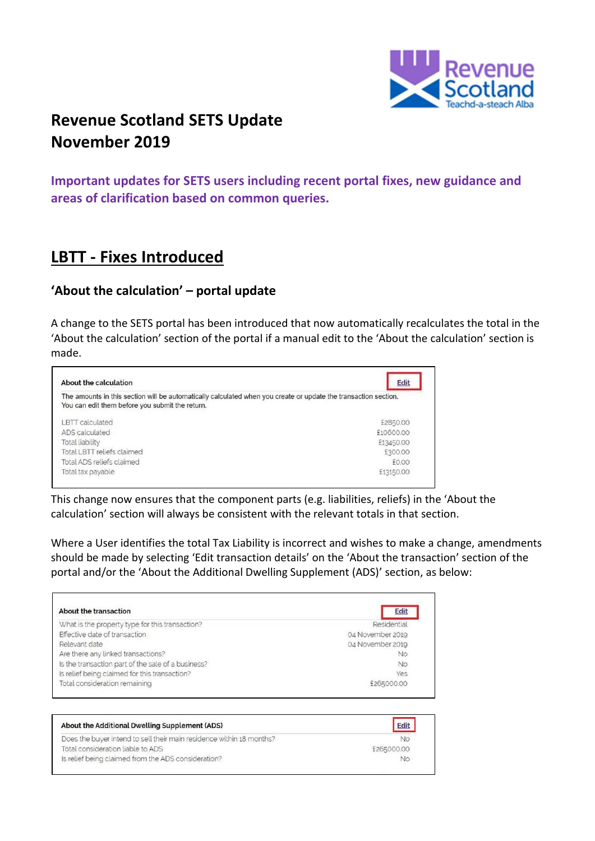

## **Revenue Scotland SETS Update November 2019**

**Important updates for SETS users including recent portal fixes, new guidance and areas of clarification based on common queries.**

## **LBTT - Fixes Introduced**

### **'About the calculation' – portal update**

A change to the SETS portal has been introduced that now automatically recalculates the total in the 'About the calculation' section of the portal if a manual edit to the 'About the calculation' section is made.



This change now ensures that the component parts (e.g. liabilities, reliefs) in the 'About the calculation' section will always be consistent with the relevant totals in that section.

Where a User identifies the total Tax Liability is incorrect and wishes to make a change, amendments should be made by selecting 'Edit transaction details' on the 'About the transaction' section of the portal and/or the 'About the Additional Dwelling Supplement (ADS)' section, as below:

| About the transaction                                                | <b>Edit</b>      |
|----------------------------------------------------------------------|------------------|
| What is the property type for this transaction?                      | Residential      |
| Effective date of transaction                                        | 04 November 2019 |
| Relevant date                                                        | 04 November 2019 |
| Are there any linked transactions?                                   | <b>No</b>        |
| Is the transaction part of the sale of a business?                   | <b>No</b>        |
| Is relief being claimed for this transaction?                        | Yes              |
| Total consideration remaining                                        | £265000.00       |
| About the Additional Dwelling Supplement (ADS)                       | Edit             |
| Does the buyer intend to sell their main residence within 18 months? | <b>No</b>        |
| Total consideration liable to ADS                                    | £265000.00       |
| Is relief being claimed from the ADS consideration?                  | No               |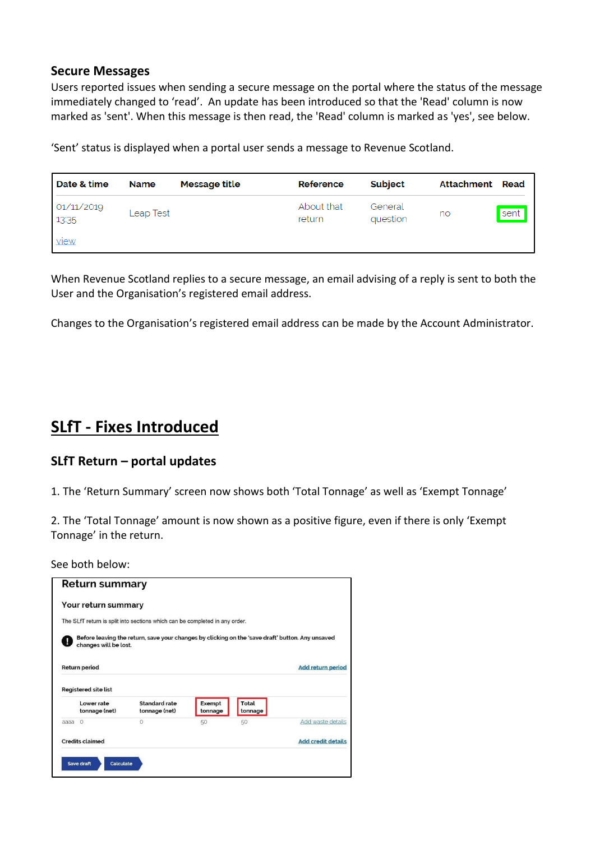#### **Secure Messages**

Users reported issues when sending a secure message on the portal where the status of the message immediately changed to 'read'. An update has been introduced so that the 'Read' column is now marked as 'sent'. When this message is then read, the 'Read' column is marked as 'yes', see below.

'Sent' status is displayed when a portal user sends a message to Revenue Scotland.

| Date & time         | <b>Name</b> | Message title | Reference            | Subject             | Attachment Read |      |
|---------------------|-------------|---------------|----------------------|---------------------|-----------------|------|
| 01/11/2019<br>13:35 | Leap Test   |               | About that<br>return | General<br>question | no              | sent |
| <u>view</u>         |             |               |                      |                     |                 |      |

When Revenue Scotland replies to a secure message, an email advising of a reply is sent to both the User and the Organisation's registered email address.

Changes to the Organisation's registered email address can be made by the Account Administrator.

## **SLfT - Fixes Introduced**

### **SLfT Return – portal updates**

1. The 'Return Summary' screen now shows both 'Total Tonnage' as well as 'Exempt Tonnage'

2. The 'Total Tonnage' amount is now shown as a positive figure, even if there is only 'Exempt Tonnage' in the return.

See both below:

|      | <b>Return summary</b>                         |                                                                                                  |                   |         |                          |
|------|-----------------------------------------------|--------------------------------------------------------------------------------------------------|-------------------|---------|--------------------------|
|      | Your return summary                           |                                                                                                  |                   |         |                          |
|      |                                               | The SLfT return is split into sections which can be completed in any order.                      |                   |         |                          |
|      | changes will be lost.<br><b>Return period</b> | Before leaving the return, save your changes by clicking on the 'save draft' button. Any unsaved |                   |         | <b>Add return period</b> |
|      |                                               |                                                                                                  |                   |         |                          |
|      | <b>Registered site list</b><br>Lower rate     | Standard rate                                                                                    |                   | Total   |                          |
|      | tonnage (net)                                 | tonnage (net)                                                                                    | Exempt<br>tonnage | tonnage |                          |
| aaaa | $\Omega$                                      | $\Omega$                                                                                         | 50                | 50      | Add waste details        |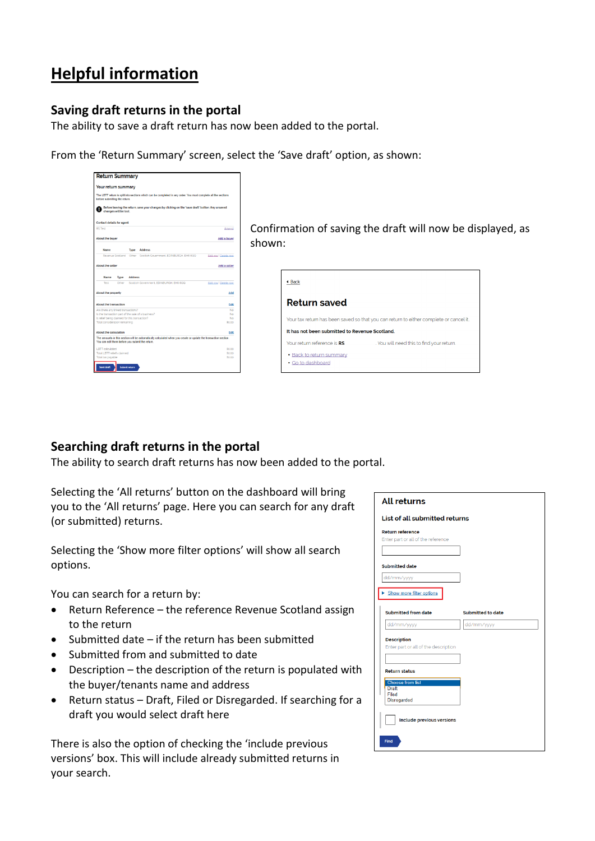# **Helpful information**

### **Saving draft returns in the portal**

The ability to save a draft return has now been added to the portal.

From the 'Return Summary' screen, select the 'Save draft' option, as shown:



 $\begin{array}{c|c|c|c|c} \hline \end{array}$  Confirmation of saving the draft will now be displayed, as shown:

| ◀ Back                                         |                                                                                        |
|------------------------------------------------|----------------------------------------------------------------------------------------|
| <b>Return saved</b>                            |                                                                                        |
|                                                | Your tax return has been saved so that you can return to either complete or cancel it. |
| It has not been submitted to Revenue Scotland. |                                                                                        |
| Your return reference is RS                    | . You will need this to find your return.                                              |
| • Back to return summary<br>• Go to dashboard  |                                                                                        |

### **Searching draft returns in the portal**

The ability to search draft returns has now been added to the portal.

Selecting the 'All returns' button on the dashboard will bring you to the 'All returns' page. Here you can search for any draft (or submitted) returns.

Selecting the 'Show more filter options' will show all search options.

You can search for a return by:

- Return Reference the reference Revenue Scotland assign to the return
- Submitted date if the return has been submitted
- Submitted from and submitted to date
- Description the description of the return is populated with the buyer/tenants name and address
- Return status Draft, Filed or Disregarded. If searching for a draft you would select draft here

There is also the option of checking the 'include previous versions' box. This will include already submitted returns in your search.

|                                                               | List of all submitted returns |
|---------------------------------------------------------------|-------------------------------|
| <b>Return reference</b><br>Enter part or all of the reference |                               |
|                                                               |                               |
| <b>Submitted date</b>                                         |                               |
| dd/mm/yyyy                                                    |                               |
| Show more filter options                                      |                               |
| <b>Submitted from date</b>                                    | Submitted to date             |
| dd/mm/yyyy                                                    | dd/mm/yyyy                    |
| <b>Description</b><br>Enter part or all of the description    |                               |
| <b>Return status</b>                                          |                               |
| <b>Choose from list</b><br><b>Draft</b>                       |                               |
| Filed                                                         |                               |
| <b>Disregarded</b>                                            |                               |